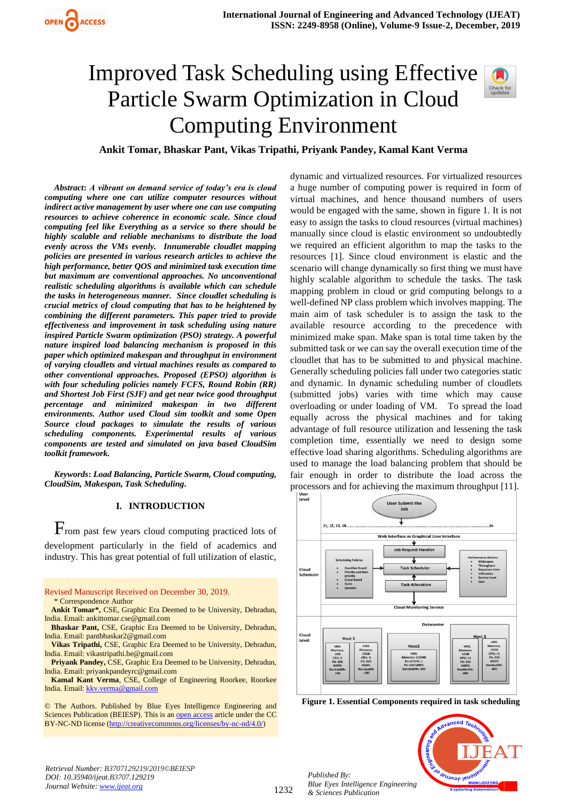# Improved Task Scheduling using Effective Particle Swarm Optimization in Cloud Computing Environment



**Ankit Tomar, Bhaskar Pant, Vikas Tripathi, Priyank Pandey, Kamal Kant Verma**

*Abstract***:** *A vibrant on demand service of today's era is cloud computing where one can utilize computer resources without indirect active management by user where one can use computing resources to achieve coherence in economic scale. Since cloud computing feel like Everything as a service so there should be highly scalable and reliable mechanisms to distribute the load evenly across the VMs evenly. Innumerable cloudlet mapping policies are presented in various research articles to achieve the high performance, better QOS and minimized task execution time but maximum are conventional approaches. No unconventional realistic scheduling algorithms is available which can schedule the tasks in heterogeneous manner. Since cloudlet scheduling is crucial metrics of cloud computing that has to be heightened by combining the different parameters. This paper tried to provide effectiveness and improvement in task scheduling using nature inspired Particle Swarm optimization (PSO) strategy. A powerful nature inspired load balancing mechanism is proposed in this paper which optimized makespan and throughput in environment of varying cloudlets and virtual machines results as compared to other conventional approaches. Proposed (EPSO) algorithm is with four scheduling policies namely FCFS, Round Robin (RR) and Shortest Job First (SJF) and get near twice good throughput percentage and minimized makespan in two different environments. Author used Cloud sim toolkit and some Open Source cloud packages to simulate the results of various scheduling components. Experimental results of various components are tested and simulated on java based CloudSim toolkit framework.*

*Keywords***:** *Load Balancing, Particle Swarm, Cloud computing, CloudSim, Makespan, Task Scheduling.* 

# **I. INTRODUCTION**

From past few years cloud computing practiced lots of development particularly in the field of academics and industry. This has great potential of full utilization of elastic,

| Revised Manuscript Received on December 30, 2019.                          |
|----------------------------------------------------------------------------|
| * Correspondence Author                                                    |
| <b>Ankit Tomar*, CSE, Graphic Era Deemed to be University, Dehradun,</b>   |
| India. Email: ankittomar.cse@gmail.com                                     |
| <b>Bhaskar Pant, CSE, Graphic Era Deemed to be University, Dehradun,</b>   |
| India. Email: pantbhaskar2@gmail.com                                       |
| Vikas Tripathi, CSE, Graphic Era Deemed to be University, Dehradun,        |
| India. Email: vikastripathi.be@gmail.com                                   |
| <b>Privank Pandey, CSE, Graphic Era Deemed to be University, Dehradun,</b> |
| India. Email: privankpandeyrc@gmail.com                                    |
| <b>Kamal Kant Verma, CSE, College of Engineering Roorkee, Roorkee</b>      |
| India. Email: kkv. verma@gmail.com                                         |
|                                                                            |
| © The Authors. Published by Blue Eyes Intelligence Engineering and         |
| Sciences Publication (BEIESP). This is an open access article under the CC |
| BY-NC-ND license (http://creativecommons.org/licenses/by-nc-nd/4.0/)       |

dynamic and virtualized resources. For virtualized resources a huge number of computing power is required in form of virtual machines, and hence thousand numbers of users would be engaged with the same, shown in figure 1. It is not easy to assign the tasks to cloud resources (virtual machines) manually since cloud is elastic environment so undoubtedly we required an efficient algorithm to map the tasks to the resources [1]. Since cloud environment is elastic and the scenario will change dynamically so first thing we must have highly scalable algorithm to schedule the tasks. The task mapping problem in cloud or grid computing belongs to a well-defined NP class problem which involves mapping. The main aim of task scheduler is to assign the task to the available resource according to the precedence with minimized make span. Make span is total time taken by the submitted task or we can say the overall execution time of the cloudlet that has to be submitted to and physical machine. Generally scheduling policies fall under two categories static and dynamic. In dynamic scheduling number of cloudlets (submitted jobs) varies with time which may cause overloading or under loading of VM. To spread the load equally across the physical machines and for taking advantage of full resource utilization and lessening the task completion time, essentially we need to design some effective load sharing algorithms. Scheduling algorithms are used to manage the load balancing problem that should be fair enough in order to distribute the load across the processors and for achieving the maximum throughput [11].



**Figure 1. Essential Components required in task scheduling**

**PUJNOF IEU** 

*Retrieval Number: B3707129219/2019©BEIESP DOI: 10.35940/ijeat.B3707.129219 Journal Website[: www.ijeat.org](http://www.ijeat.org/)*

*Published By: Blue Eyes Intelligence Engineering & Sciences Publication*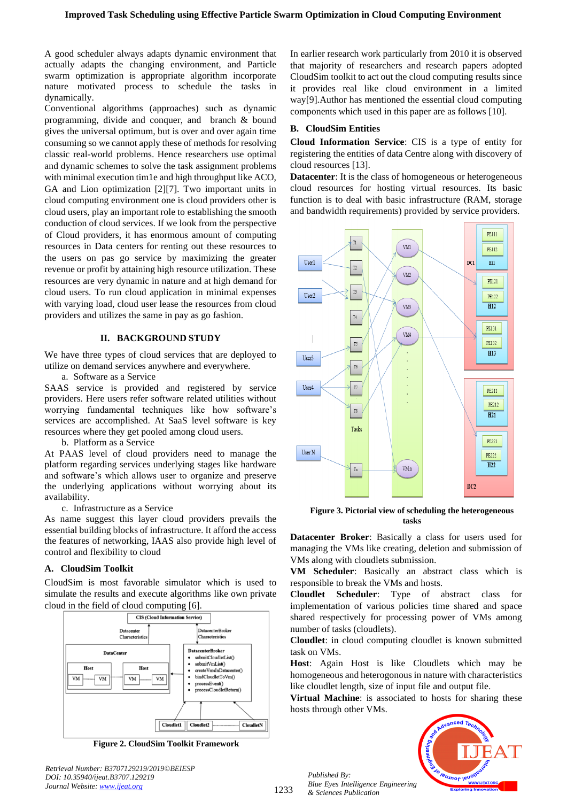A good scheduler always adapts dynamic environment that actually adapts the changing environment, and Particle swarm optimization is appropriate algorithm incorporate nature motivated process to schedule the tasks in dynamically.

Conventional algorithms (approaches) such as dynamic programming, divide and conquer, and branch & bound gives the universal optimum, but is over and over again time consuming so we cannot apply these of methods for resolving classic real-world problems. Hence researchers use optimal and dynamic schemes to solve the task assignment problems with minimal execution tim1e and high throughput like ACO, GA and Lion optimization [2][7]. Two important units in cloud computing environment one is cloud providers other is cloud users, play an important role to establishing the smooth conduction of cloud services. If we look from the perspective of Cloud providers, it has enormous amount of computing resources in Data centers for renting out these resources to the users on pas go service by maximizing the greater revenue or profit by attaining high resource utilization. These resources are very dynamic in nature and at high demand for cloud users. To run cloud application in minimal expenses with varying load, cloud user lease the resources from cloud providers and utilizes the same in pay as go fashion.

## **II. BACKGROUND STUDY**

We have three types of cloud services that are deployed to utilize on demand services anywhere and everywhere.

a. Software as a Service

SAAS service is provided and registered by service providers. Here users refer software related utilities without worrying fundamental techniques like how software's services are accomplished. At SaaS level software is key resources where they get pooled among cloud users.

b. Platform as a Service

At PAAS level of cloud providers need to manage the platform regarding services underlying stages like hardware and software's which allows user to organize and preserve the underlying applications without worrying about its availability.

c. Infrastructure as a Service

As name suggest this layer cloud providers prevails the essential building blocks of infrastructure. It afford the access the features of networking, IAAS also provide high level of control and flexibility to cloud

# **A. CloudSim Toolkit**

CloudSim is most favorable simulator which is used to simulate the results and execute algorithms like own private cloud in the field of cloud computing [6].



**Figure 2. CloudSim Toolkit Framework**

*Retrieval Number: B3707129219/2019©BEIESP DOI: 10.35940/ijeat.B3707.129219 Journal Website[: www.ijeat.org](http://www.ijeat.org/)*

In earlier research work particularly from 2010 it is observed that majority of researchers and research papers adopted CloudSim toolkit to act out the cloud computing results since it provides real like cloud environment in a limited way[9].Author has mentioned the essential cloud computing components which used in this paper are as follows [10].

### **B. CloudSim Entities**

**Cloud Information Service**: CIS is a type of entity for registering the entities of data Centre along with discovery of cloud resources [13].

**Datacenter**: It is the class of homogeneous or heterogeneous cloud resources for hosting virtual resources. Its basic function is to deal with basic infrastructure (RAM, storage and bandwidth requirements) provided by service providers.



**Figure 3. Pictorial view of scheduling the heterogeneous tasks**

**Datacenter Broker**: Basically a class for users used for managing the VMs like creating, deletion and submission of VMs along with cloudlets submission.

**VM Scheduler**: Basically an abstract class which is responsible to break the VMs and hosts.

**Cloudlet Scheduler**: Type of abstract class for implementation of various policies time shared and space shared respectively for processing power of VMs among number of tasks (cloudlets).

**Cloudlet**: in cloud computing cloudlet is known submitted task on VMs.

**Host**: Again Host is like Cloudlets which may be homogeneous and heterogonous in nature with characteristics like cloudlet length, size of input file and output file.

**Virtual Machine**: is associated to hosts for sharing these hosts through other VMs.



*Published By: Blue Eyes Intelligence Engineering & Sciences Publication* 

1233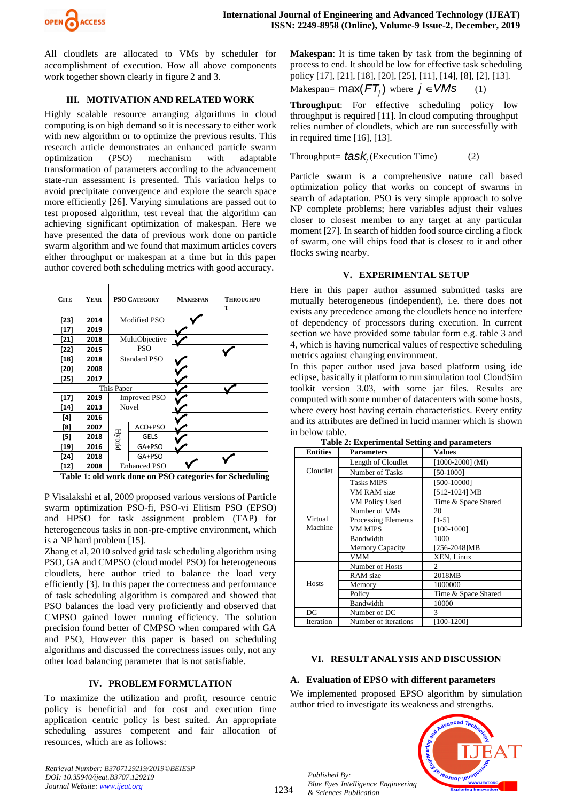

All cloudlets are allocated to VMs by scheduler for accomplishment of execution. How all above components work together shown clearly in figure 2 and 3.

# **III. MOTIVATION AND RELATED WORK**

Highly scalable resource arranging algorithms in cloud computing is on high demand so it is necessary to either work with new algorithm or to optimize the previous results. This research article demonstrates an enhanced particle swarm optimization (PSO) mechanism with adaptable transformation of parameters according to the advancement state-run assessment is presented. This variation helps to avoid precipitate convergence and explore the search space more efficiently [26]. Varying simulations are passed out to test proposed algorithm, test reveal that the algorithm can achieving significant optimization of makespan. Here we have presented the data of previous work done on particle swarm algorithm and we found that maximum articles covers either throughput or makespan at a time but in this paper author covered both scheduling metrics with good accuracy.

| <b>CITE</b> | YEAR | <b>PSO CATEGORY</b> |                | <b>MAKESPAN</b> | <b>THROUGHPU</b><br>T |
|-------------|------|---------------------|----------------|-----------------|-----------------------|
| $[23]$      | 2014 | Modified PSO        |                |                 |                       |
| $[17]$      | 2019 |                     |                |                 |                       |
| $[21]$      | 2018 |                     | MultiObjective |                 |                       |
| $[22]$      | 2015 |                     | PSO            |                 |                       |
| $[18]$      | 2018 | <b>Standard PSO</b> |                |                 |                       |
| [20]        | 2008 |                     |                |                 |                       |
| [25]        | 2017 |                     |                |                 |                       |
| This Paper  |      |                     |                |                 |                       |
| $[17]$      | 2019 | <b>Improved PSO</b> |                |                 |                       |
| $[14]$      | 2013 | Novel               |                |                 |                       |
| [4]         | 2016 |                     |                |                 |                       |
| [8]         | 2007 |                     | ACO+PSO        |                 |                       |
| [5]         | 2018 | <b>Hybrid</b>       | <b>GELS</b>    |                 |                       |
| [19]        | 2016 |                     | GA+PSO         |                 |                       |
| $[24]$      | 2018 |                     | GA+PSO         |                 |                       |
| [12]        | 2008 | <b>Enhanced PSO</b> |                |                 |                       |

**Table 1: old work done on PSO categories for Scheduling**

P Visalakshi et al, 2009 proposed various versions of Particle swarm optimization PSO-fi, PSO-vi Elitism PSO (EPSO) and HPSO for task assignment problem (TAP) for heterogeneous tasks in non-pre-emptive environment, which is a NP hard problem [15].

Zhang et al, 2010 solved grid task scheduling algorithm using PSO, GA and CMPSO (cloud model PSO) for heterogeneous cloudlets, here author tried to balance the load very efficiently [3]. In this paper the correctness and performance of task scheduling algorithm is compared and showed that PSO balances the load very proficiently and observed that CMPSO gained lower running efficiency. The solution precision found better of CMPSO when compared with GA and PSO, However this paper is based on scheduling algorithms and discussed the correctness issues only, not any other load balancing parameter that is not satisfiable.

# **IV. PROBLEM FORMULATION**

To maximize the utilization and profit, resource centric policy is beneficial and for cost and execution time application centric policy is best suited. An appropriate scheduling assures competent and fair allocation of resources, which are as follows:

*Retrieval Number: B3707129219/2019©BEIESP DOI: 10.35940/ijeat.B3707.129219 Journal Website[: www.ijeat.org](http://www.ijeat.org/)*

**Makespan**: It is time taken by task from the beginning of process to end. It should be low for effective task scheduling policy [17], [21], [18], [20], [25], [11], [14], [8], [2], [13].

$$
Makespan = \max(FT_j) \text{ where } j \in VMS \qquad (1)
$$

**Throughput:** For effective scheduling policy low throughput is required [11]. In cloud computing throughput relies number of cloudlets, which are run successfully with in required time [16], [13].

Throughout= 
$$
task_i
$$
 (Execution Time) (2)

Particle swarm is a comprehensive nature call based optimization policy that works on concept of swarms in search of adaptation. PSO is very simple approach to solve NP complete problems; here variables adjust their values closer to closest member to any target at any particular moment [27]. In search of hidden food source circling a flock of swarm, one will chips food that is closest to it and other flocks swing nearby.

## **V. EXPERIMENTAL SETUP**

Here in this paper author assumed submitted tasks are mutually heterogeneous (independent), i.e. there does not exists any precedence among the cloudlets hence no interfere of dependency of processors during execution. In current section we have provided some tabular form e.g. table 3 and 4, which is having numerical values of respective scheduling metrics against changing environment.

In this paper author used java based platform using ide eclipse, basically it platform to run simulation tool CloudSim toolkit version 3.03, with some jar files. Results are computed with some number of datacenters with some hosts, where every host having certain characteristics. Every entity and its attributes are defined in lucid manner which is shown in below table.

| <b>Entities</b>    | <b>Parameters</b>          | <b>Values</b>       |  |
|--------------------|----------------------------|---------------------|--|
| Cloudlet           | Length of Cloudlet         | $[1000-2000]$ (MI)  |  |
|                    | Number of Tasks            | [50-1000]           |  |
|                    | <b>Tasks MIPS</b>          | [500-10000]         |  |
|                    | VM RAM size                | [512-1024] MB       |  |
|                    | VM Policy Used             | Time & Space Shared |  |
| Virtual<br>Machine | Number of VMs              | 20                  |  |
|                    | <b>Processing Elements</b> | [1-5]               |  |
|                    | <b>VM MIPS</b>             | [100-1000]          |  |
|                    | <b>Bandwidth</b>           | 1000                |  |
|                    | <b>Memory Capacity</b>     | [256-2048]MB        |  |
|                    | VMM                        | XEN, Linux          |  |
|                    | Number of Hosts            | $\mathfrak{D}$      |  |
|                    | RAM size                   | 2018MB              |  |
| <b>Hosts</b>       | Memory                     | 1000000             |  |
|                    | Policy                     | Time & Space Shared |  |
|                    | Bandwidth                  | 10000               |  |
| DC                 | Number of DC               | 3                   |  |
| Iteration          | Number of iterations       | [100-1200]          |  |

**Table 2: Experimental Setting and parameters**

# **VI. RESULT ANALYSIS AND DISCUSSION**

# **A. Evaluation of EPSO with different parameters**

We implemented proposed EPSO algorithm by simulation author tried to investigate its weakness and strengths.



*Published By: Blue Eyes Intelligence Engineering & Sciences Publication* 

1234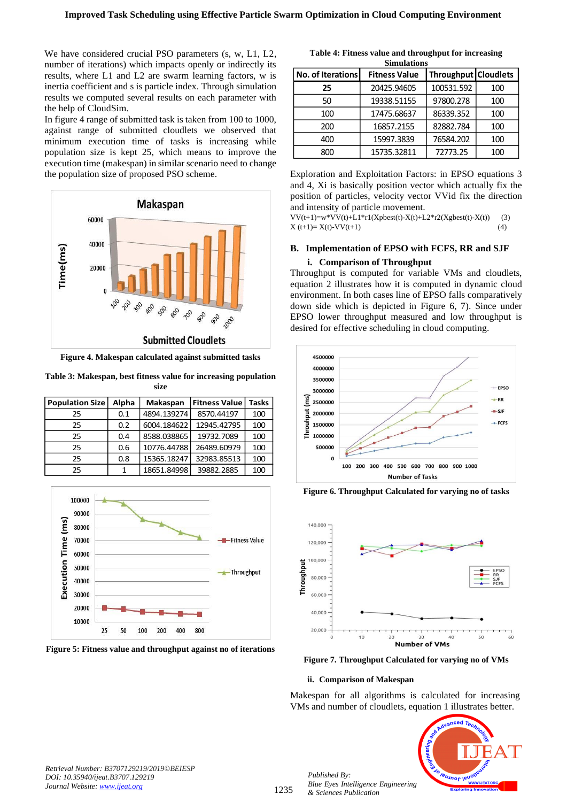We have considered crucial PSO parameters (s, w, L1, L2, number of iterations) which impacts openly or indirectly its results, where L1 and L2 are swarm learning factors, w is inertia coefficient and s is particle index. Through simulation results we computed several results on each parameter with the help of CloudSim.

In figure 4 range of submitted task is taken from 100 to 1000, against range of submitted cloudlets we observed that minimum execution time of tasks is increasing while population size is kept 25, which means to improve the execution time (makespan) in similar scenario need to change the population size of proposed PSO scheme.



**Figure 4. Makespan calculated against submitted tasks**

**Table 3: Makespan, best fitness value for increasing population size**

| <b>Population Size</b> | Alpha | Makaspan    | <b>Fitness Value</b> | Tasks |
|------------------------|-------|-------------|----------------------|-------|
| 25                     | 0.1   | 4894.139274 | 8570.44197           | 100   |
| 25                     | 0.2   | 6004.184622 | 12945.42795          | 100   |
| 25                     | 0.4   | 8588.038865 | 19732.7089           | 100   |
| 25                     | 0.6   | 10776.44788 | 26489.60979          | 100   |
| 25                     | 0.8   | 15365.18247 | 32983.85513          | 100   |
| 25                     | 1     | 18651.84998 | 39882.2885           | 100   |



**Figure 5: Fitness value and throughput against no of iterations** 

**Table 4: Fitness value and throughput for increasing Simulations**

| No. of Iterations | <b>Fitness Value</b> | Throughput Cloudlets |     |
|-------------------|----------------------|----------------------|-----|
| 25                | 20425.94605          | 100531.592           | 100 |
| 50                | 19338.51155          | 97800.278            | 100 |
| 100               | 17475.68637          | 86339.352            | 100 |
| 200               | 16857.2155           | 82882.784            | 100 |
| 400               | 15997.3839           | 76584.202            | 100 |
| 800               | 15735.32811          | 72773.25             | 100 |

Exploration and Exploitation Factors: in EPSO equations 3 and 4, Xi is basically position vector which actually fix the position of particles, velocity vector VVid fix the direction and intensity of particle movement.

 $VV(t+1)=w*VV(t)+L1*r1(Xpbest(t)-X(t)+L2*r2(Xgbest(t)-X(t))$  (3)  $X(t+1) = X(t)-VV(t+1)$  (4)

### **B. Implementation of EPSO with FCFS, RR and SJF**

#### **i. Comparison of Throughput**

Throughput is computed for variable VMs and cloudlets, equation 2 illustrates how it is computed in dynamic cloud environment. In both cases line of EPSO falls comparatively down side which is depicted in Figure 6, 7). Since under EPSO lower throughput measured and low throughput is desired for effective scheduling in cloud computing.



**Figure 6. Throughput Calculated for varying no of tasks**



**Figure 7. Throughput Calculated for varying no of VMs**

#### **ii. Comparison of Makespan**

Makespan for all algorithms is calculated for increasing VMs and number of cloudlets, equation 1 illustrates better.



*Retrieval Number: B3707129219/2019©BEIESP DOI: 10.35940/ijeat.B3707.129219 Journal Website[: www.ijeat.org](http://www.ijeat.org/)*

*Published By: Blue Eyes Intelligence Engineering & Sciences Publication*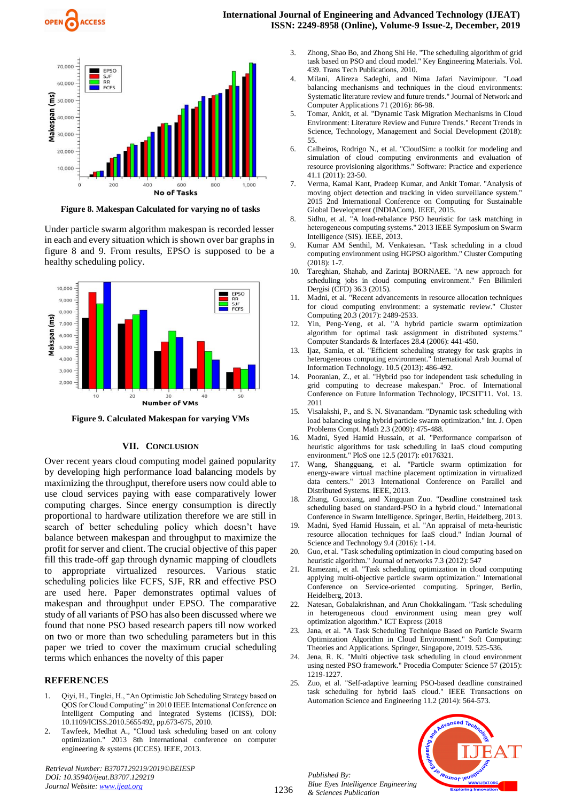

**Figure 8. Makespan Calculated for varying no of tasks**

Under particle swarm algorithm makespan is recorded lesser in each and every situation which is shown over bar graphs in figure 8 and 9. From results, EPSO is supposed to be a healthy scheduling policy.



**Figure 9. Calculated Makespan for varying VMs**

#### **VII. CONCLUSION**

Over recent years cloud computing model gained popularity by developing high performance load balancing models by maximizing the throughput, therefore users now could able to use cloud services paying with ease comparatively lower computing charges. Since energy consumption is directly proportional to hardware utilization therefore we are still in search of better scheduling policy which doesn't have balance between makespan and throughput to maximize the profit for server and client. The crucial objective of this paper fill this trade-off gap through dynamic mapping of cloudlets to appropriate virtualized resources. Various static scheduling policies like FCFS, SJF, RR and effective PSO are used here. Paper demonstrates optimal values of makespan and throughput under EPSO. The comparative study of all variants of PSO has also been discussed where we found that none PSO based research papers till now worked on two or more than two scheduling parameters but in this paper we tried to cover the maximum crucial scheduling terms which enhances the novelty of this paper

#### **REFERENCES**

- 1. Qiyi, H., Tinglei, H., "An Optimistic Job Scheduling Strategy based on QOS for Cloud Computing" in 2010 IEEE International Conference on Intelligent Computing and Integrated Systems (ICISS), DOI: 10.1109/ICISS.2010.5655492, pp.673-675, 2010.
- 2. Tawfeek, Medhat A., "Cloud task scheduling based on ant colony optimization." 2013 8th international conference on computer engineering & systems (ICCES). IEEE, 2013.

*Retrieval Number: B3707129219/2019©BEIESP DOI: 10.35940/ijeat.B3707.129219 Journal Website[: www.ijeat.org](http://www.ijeat.org/)*

- 3. Zhong, Shao Bo, and Zhong Shi He. "The scheduling algorithm of grid task based on PSO and cloud model." Key Engineering Materials. Vol. 439. Trans Tech Publications, 2010.
- 4. Milani, Alireza Sadeghi, and Nima Jafari Navimipour. "Load balancing mechanisms and techniques in the cloud environments: Systematic literature review and future trends." Journal of Network and Computer Applications 71 (2016): 86-98.
- 5. Tomar, Ankit, et al. "Dynamic Task Migration Mechanisms in Cloud Environment: Literature Review and Future Trends." Recent Trends in Science, Technology, Management and Social Development (2018): 55.
- 6. Calheiros, Rodrigo N., et al. "CloudSim: a toolkit for modeling and simulation of cloud computing environments and evaluation of resource provisioning algorithms." Software: Practice and experience 41.1 (2011): 23-50.
- 7. Verma, Kamal Kant, Pradeep Kumar, and Ankit Tomar. "Analysis of moving object detection and tracking in video surveillance system." 2015 2nd International Conference on Computing for Sustainable Global Development (INDIACom). IEEE, 2015.
- 8. Sidhu, et al. "A load-rebalance PSO heuristic for task matching in heterogeneous computing systems." 2013 IEEE Symposium on Swarm Intelligence (SIS). IEEE, 2013.
- 9. Kumar AM Senthil, M. Venkatesan. "Task scheduling in a cloud computing environment using HGPSO algorithm." Cluster Computing (2018): 1-7.
- 10. Tareghian, Shahab, and Zarintaj BORNAEE. "A new approach for scheduling jobs in cloud computing environment." Fen Bilimleri Dergisi (CFD) 36.3 (2015).
- 11. Madni, et al. "Recent advancements in resource allocation techniques for cloud computing environment: a systematic review." Cluster Computing 20.3 (2017): 2489-2533.
- 12. Yin, Peng-Yeng, et al. "A hybrid particle swarm optimization algorithm for optimal task assignment in distributed systems." Computer Standards & Interfaces 28.4 (2006): 441-450.
- 13. Ijaz, Samia, et al. "Efficient scheduling strategy for task graphs in heterogeneous computing environment." International Arab Journal of Information Technology. 10.5 (2013): 486-492.
- 14. Pooranian, Z., et al. "Hybrid pso for independent task scheduling in grid computing to decrease makespan." Proc. of International Conference on Future Information Technology, IPCSIT'11. Vol. 13. 2011
- 15. Visalakshi, P., and S. N. Sivanandam. "Dynamic task scheduling with load balancing using hybrid particle swarm optimization." Int. J. Open Problems Compt. Math 2.3 (2009): 475-488.
- 16. Madni, Syed Hamid Hussain, et al. "Performance comparison of heuristic algorithms for task scheduling in IaaS cloud computing environment." PloS one 12.5 (2017): e0176321.
- 17. Wang, Shangguang, et al. "Particle swarm optimization for energy-aware virtual machine placement optimization in virtualized data centers." 2013 International Conference on Parallel and Distributed Systems. IEEE, 2013.
- Zhang, Guoxiang, and Xingquan Zuo. "Deadline constrained task scheduling based on standard-PSO in a hybrid cloud." International Conference in Swarm Intelligence. Springer, Berlin, Heidelberg, 2013.
- 19. Madni, Syed Hamid Hussain, et al. "An appraisal of meta-heuristic resource allocation techniques for IaaS cloud." Indian Journal of Science and Technology 9.4 (2016): 1-14.
- 20. Guo, et al. "Task scheduling optimization in cloud computing based on heuristic algorithm." Journal of networks 7.3 (2012): 547
- 21. Ramezani, et al. "Task scheduling optimization in cloud computing applying multi-objective particle swarm optimization." International Conference on Service-oriented computing. Springer, Berlin, Heidelberg, 2013.
- 22. Natesan, Gobalakrishnan, and Arun Chokkalingam. "Task scheduling in heterogeneous cloud environment using mean grey wolf optimization algorithm." ICT Express (2018
- 23. Jana, et al. "A Task Scheduling Technique Based on Particle Swarm Optimization Algorithm in Cloud Environment." Soft Computing: Theories and Applications. Springer, Singapore, 2019. 525-536.
- 24. Jena, R. K. "Multi objective task scheduling in cloud environment using nested PSO framework." Procedia Computer Science 57 (2015): 1219-1227.
- 25. Zuo, et al. "Self-adaptive learning PSO-based deadline constrained task scheduling for hybrid IaaS cloud." IEEE Transactions on Automation Science and Engineering 11.2 (2014): 564-573.

*Published By: Blue Eyes Intelligence Engineering & Sciences Publication* 



1236